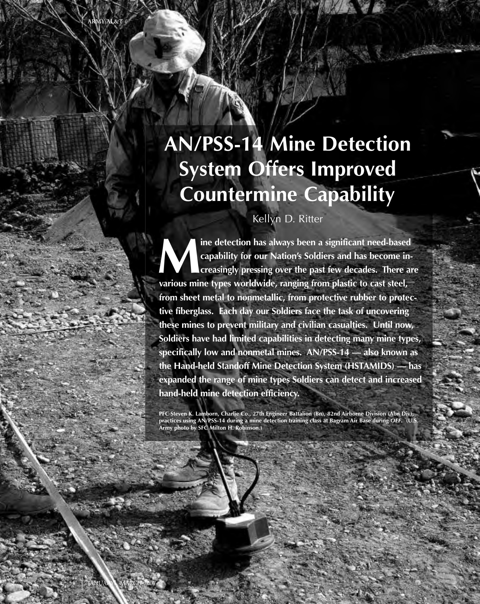# **AN/PSS-14 Mine Detection System Offers Improved Countermine Capability**

Kellyn D. Ritter

**Mine detection has always been a significant need-based capability for our Nation's Soldiers and has become increasingly pressing over the past few decades. There are various mine types worldwide, ranging from plastic to cast steel, from sheet metal to nonmetallic, from protective rubber to protective fiberglass. Each day our Soldiers face the task of uncovering these mines to prevent military and civilian casualties. Until now, Soldiers have had limited capabilities in detecting many mine types, specifically low and nonmetal mines. AN/PSS-14 — also known as the Hand-held Standoff Mine Detection System (HSTAMIDS) — has expanded the range of mine types Soldiers can detect and increased hand-held mine detection efficiency.**

**PFC Steven K. Lamborn, Charlie Co., 27th Engineer Battalion (Bn), 82nd Airborne Division (Abn Div), practices using AN/PSS-14 during a mine detection training class at Bagram Air Base during** *OEF***. (U.S. Army photo by SFC Milton H. Robinson.)**

54 JANUARY - MARCH 2007

**ARMY AL&T**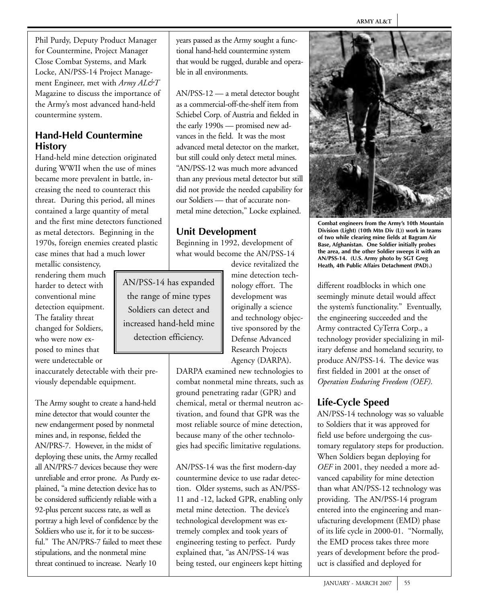Phil Purdy, Deputy Product Manager for Countermine, Project Manager Close Combat Systems, and Mark Locke, AN/PSS-14 Project Management Engineer, met with *Army AL&T* Magazine to discuss the importance of the Army's most advanced hand-held countermine system.

### **Hand-Held Countermine History**

Hand-held mine detection originated during WWII when the use of mines became more prevalent in battle, increasing the need to counteract this threat. During this period, all mines contained a large quantity of metal and the first mine detectors functioned as metal detectors. Beginning in the 1970s, foreign enemies created plastic case mines that had a much lower

metallic consistency, rendering them much harder to detect with conventional mine detection equipment. The fatality threat changed for Soldiers, who were now exposed to mines that were undetectable or

inaccurately detectable with their previously dependable equipment.

The Army sought to create a hand-held mine detector that would counter the new endangerment posed by nonmetal mines and, in response, fielded the AN/PRS-7. However, in the midst of deploying these units, the Army recalled all AN/PRS-7 devices because they were unreliable and error prone. As Purdy explained, "a mine detection device has to be considered sufficiently reliable with a 92-plus percent success rate, as well as portray a high level of confidence by the Soldiers who use it, for it to be successful." The AN/PRS-7 failed to meet these stipulations, and the nonmetal mine threat continued to increase. Nearly 10

years passed as the Army sought a functional hand-held countermine system that would be rugged, durable and operable in all environments.

AN/PSS-12 — a metal detector bought as a commercial-off-the-shelf item from Schiebel Corp. of Austria and fielded in the early 1990s — promised new advances in the field. It was the most advanced metal detector on the market, but still could only detect metal mines. "AN/PSS-12 was much more advanced than any previous metal detector but still did not provide the needed capability for our Soldiers — that of accurate nonmetal mine detection," Locke explained.

# **Unit Development**

Beginning in 1992, development of what would become the AN/PSS-14

AN/PSS-14 has expanded the range of mine types Soldiers can detect and increased hand-held mine detection efficiency.

mine detection technology effort. The development was originally a science and technology objective sponsored by the Defense Advanced Research Projects Agency (DARPA).

device revitalized the

DARPA examined new technologies to combat nonmetal mine threats, such as ground penetrating radar (GPR) and chemical, metal or thermal neutron activation, and found that GPR was the most reliable source of mine detection, because many of the other technologies had specific limitative regulations.

AN/PSS-14 was the first modern-day countermine device to use radar detection. Older systems, such as AN/PSS-11 and -12, lacked GPR, enabling only metal mine detection. The device's technological development was extremely complex and took years of engineering testing to perfect. Purdy explained that, "as AN/PSS-14 was being tested, our engineers kept hitting



**Combat engineers from the Army's 10th Mountain Division (Light) (10th Mtn Div (L)) work in teams of two while clearing mine fields at Bagram Air Base, Afghanistan. One Soldier initially probes the area, and the other Soldier sweeps it with an AN/PSS-14. (U.S. Army photo by SGT Greg Heath, 4th Public Affairs Detachment (PAD).)**

different roadblocks in which one seemingly minute detail would affect the system's functionality." Eventually, the engineering succeeded and the Army contracted CyTerra Corp., a technology provider specializing in military defense and homeland security, to produce AN/PSS-14. The device was first fielded in 2001 at the onset of *Operation Enduring Freedom (OEF)*.

# **Life-Cycle Speed**

AN/PSS-14 technology was so valuable to Soldiers that it was approved for field use before undergoing the customary regulatory steps for production. When Soldiers began deploying for *OEF* in 2001, they needed a more advanced capability for mine detection than what AN/PSS-12 technology was providing. The AN/PSS-14 program entered into the engineering and manufacturing development (EMD) phase of its life cycle in 2000-01. "Normally, the EMD process takes three more years of development before the product is classified and deployed for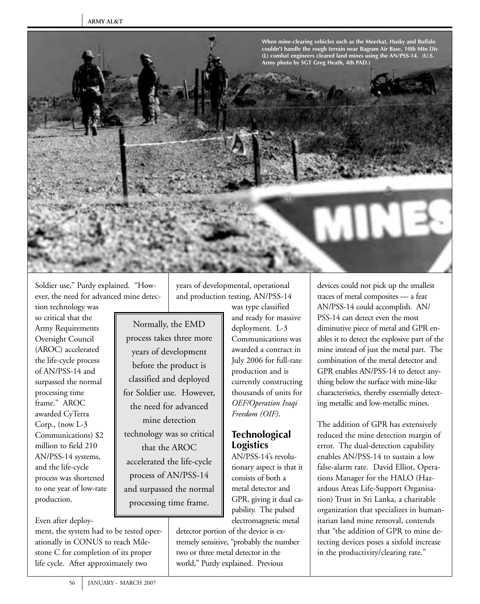

Soldier use," Purdy explained. "However, the need for advanced mine detec-

tion technology was so critical that the Army Requirements Oversight Council (AROC) accelerated the life-cycle process of AN/PSS-14 and surpassed the normal processing time frame." AROC awarded CyTerra Corp., (now L-3 Communications) \$2 million to field 210 AN/PSS-14 systems, and the life-cycle process was shortened to one year of low-rate production.

Even after deploy-

ment, the system had to be tested operationally in CONUS to reach Milestone C for completion of its proper life cycle. After approximately two

years of developmental, operational and production testing, AN/PSS-14

> was type classified and ready for massive deployment. L-3 Communications was awarded a contract in July 2006 for full-rate production and is currently constructing thousands of units for *OEF/Operation Iraqi Freedom (OIF)*.

Normally, the EMD process takes three more years of development before the product is classified and deployed for Soldier use. However, the need for advanced mine detection technology was so critical that the AROC accelerated the life-cycle process of AN/PSS-14 and surpassed the normal processing time frame.

**Logistics** AN/PSS-14's revolutionary aspect is that it consists of both a metal detector and GPR, giving it dual capability. The pulsed electromagnetic metal

**Technological**

detector portion of the device is extremely sensitive, "probably the number two or three metal detector in the world," Purdy explained. Previous

devices could not pick up the smallest traces of metal composites — a feat AN/PSS-14 could accomplish. AN/ PSS-14 can detect even the most diminutive piece of metal and GPR enables it to detect the explosive part of the mine instead of just the metal part. The combination of the metal detector and GPR enables AN/PSS-14 to detect anything below the surface with mine-like characteristics, thereby essentially detecting metallic and low-metallic mines.

The addition of GPR has extensively reduced the mine detection margin of error. The dual-detection capability enables AN/PSS-14 to sustain a low false-alarm rate. David Elliot, Operations Manager for the HALO (Hazardous Areas Life-Support Organisation) Trust in Sri Lanka, a charitable organization that specializes in humanitarian land mine removal, contends that "the addition of GPR to mine detecting devices poses a sixfold increase in the productivity/clearing rate."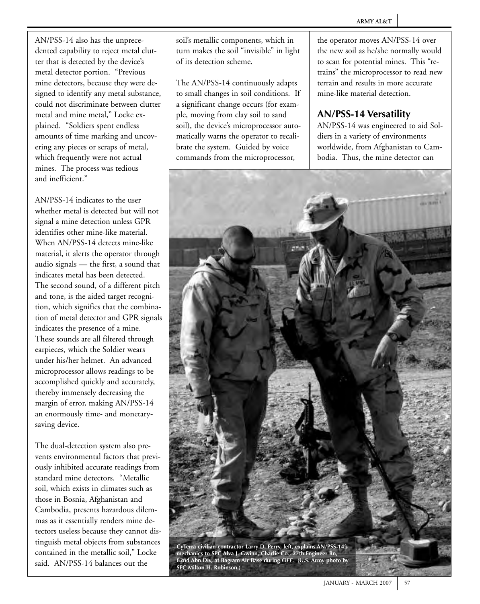AN/PSS-14 also has the unprecedented capability to reject metal clutter that is detected by the device's metal detector portion. "Previous mine detectors, because they were designed to identify any metal substance, could not discriminate between clutter metal and mine metal," Locke explained. "Soldiers spent endless amounts of time marking and uncovering any pieces or scraps of metal, which frequently were not actual mines. The process was tedious and inefficient."

AN/PSS-14 indicates to the user whether metal is detected but will not signal a mine detection unless GPR identifies other mine-like material. When AN/PSS-14 detects mine-like material, it alerts the operator through audio signals — the first, a sound that indicates metal has been detected. The second sound, of a different pitch and tone, is the aided target recognition, which signifies that the combination of metal detector and GPR signals indicates the presence of a mine. These sounds are all filtered through earpieces, which the Soldier wears under his/her helmet. An advanced microprocessor allows readings to be accomplished quickly and accurately, thereby immensely decreasing the margin of error, making AN/PSS-14 an enormously time- and monetarysaving device.

The dual-detection system also prevents environmental factors that previously inhibited accurate readings from standard mine detectors. "Metallic soil, which exists in climates such as those in Bosnia, Afghanistan and Cambodia, presents hazardous dilemmas as it essentially renders mine detectors useless because they cannot distinguish metal objects from substances contained in the metallic soil," Locke said. AN/PSS-14 balances out the

soil's metallic components, which in turn makes the soil "invisible" in light of its detection scheme.

The AN/PSS-14 continuously adapts to small changes in soil conditions. If a significant change occurs (for example, moving from clay soil to sand soil), the device's microprocessor automatically warns the operator to recalibrate the system. Guided by voice commands from the microprocessor,

the operator moves AN/PSS-14 over the new soil as he/she normally would to scan for potential mines. This "retrains" the microprocessor to read new terrain and results in more accurate mine-like material detection.

#### **AN/PSS-14 Versatility**

AN/PSS-14 was engineered to aid Soldiers in a variety of environments worldwide, from Afghanistan to Cambodia. Thus, the mine detector can

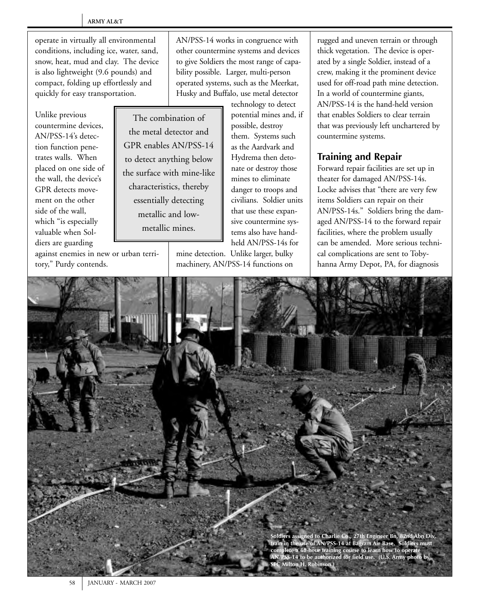operate in virtually all environmental conditions, including ice, water, sand, snow, heat, mud and clay. The device is also lightweight (9.6 pounds) and compact, folding up effortlessly and quickly for easy transportation.

Unlike previous countermine devices, AN/PSS-14's detection function penetrates walls. When placed on one side of the wall, the device's GPR detects movement on the other side of the wall, which "is especially valuable when Soldiers are guarding

The combination of the metal detector and GPR enables AN/PSS-14 to detect anything below the surface with mine-like characteristics, thereby essentially detecting metallic and lowmetallic mines.

against enemies in new or urban territory," Purdy contends.

AN/PSS-14 works in congruence with other countermine systems and devices to give Soldiers the most range of capability possible. Larger, multi-person operated systems, such as the Meerkat, Husky and Buffalo, use metal detector

> technology to detect potential mines and, if possible, destroy them. Systems such as the Aardvark and Hydrema then detonate or destroy those mines to eliminate danger to troops and civilians. Soldier units that use these expansive countermine systems also have handheld AN/PSS-14s for

mine detection. Unlike larger, bulky machinery, AN/PSS-14 functions on rugged and uneven terrain or through thick vegetation. The device is operated by a single Soldier, instead of a crew, making it the prominent device used for off-road path mine detection. In a world of countermine giants, AN/PSS-14 is the hand-held version that enables Soldiers to clear terrain that was previously left unchartered by countermine systems.

# **Training and Repair**

Forward repair facilities are set up in theater for damaged AN/PSS-14s. Locke advises that "there are very few items Soldiers can repair on their AN/PSS-14s." Soldiers bring the damaged AN/PSS-14 to the forward repair facilities, where the problem usually can be amended. More serious technical complications are sent to Tobyhanna Army Depot, PA, for diagnosis